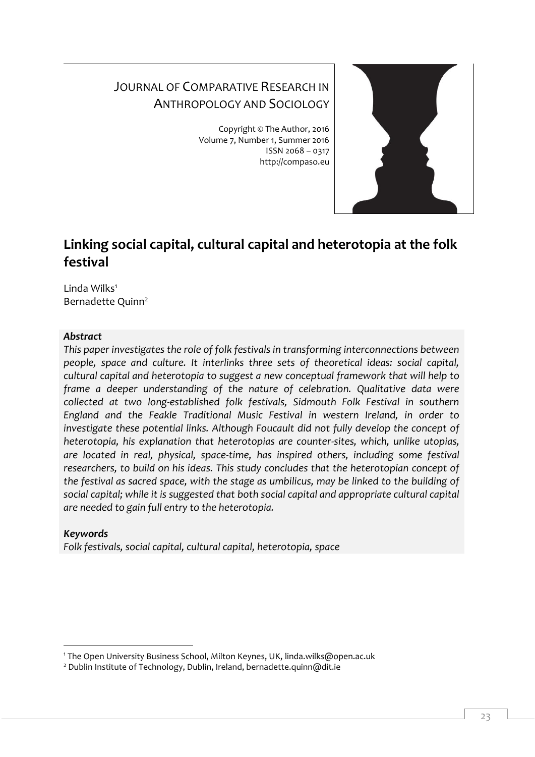# JOURNAL OF COMPARATIVE RESEARCH IN ANTHROPOLOGY AND SOCIOLOGY

Copyright © The Author, 2016 Volume 7, Number 1, Summer 2016 ISSN 2068 – 0317 http://compaso.eu



# **Linking social capital, cultural capital and heterotopia at the folk festival**

Linda Wilks<sup>1</sup> Bernadette Quinn<sup>2</sup>

# *Abstract*

*This paper investigates the role of folk festivals in transforming interconnections between people, space and culture. It interlinks three sets of theoretical ideas: social capital, cultural capital and heterotopia to suggest a new conceptual framework that will help to frame a deeper understanding of the nature of celebration. Qualitative data were collected at two long-established folk festivals, Sidmouth Folk Festival in southern England and the Feakle Traditional Music Festival in western Ireland, in order to investigate these potential links. Although Foucault did not fully develop the concept of heterotopia, his explanation that heterotopias are counter-sites, which, unlike utopias, are located in real, physical, space-time, has inspired others, including some festival researchers, to build on his ideas. This study concludes that the heterotopian concept of the festival as sacred space, with the stage as umbilicus, may be linked to the building of social capital; while it is suggested that both social capital and appropriate cultural capital are needed to gain full entry to the heterotopia.* 

# *Keywords*

-

*Folk festivals, social capital, cultural capital, heterotopia, space*

<sup>1</sup> The Open University Business School, Milton Keynes, UK, linda.wilks@open.ac.uk

<sup>&</sup>lt;sup>2</sup> Dublin Institute of Technology, Dublin, Ireland, bernadette.quinn@dit.ie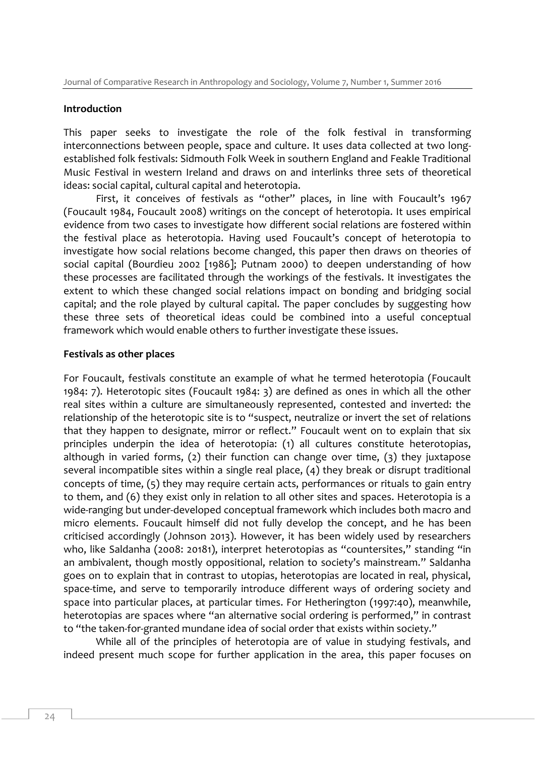#### **Introduction**

This paper seeks to investigate the role of the folk festival in transforming interconnections between people, space and culture. It uses data collected at two longestablished folk festivals: Sidmouth Folk Week in southern England and Feakle Traditional Music Festival in western Ireland and draws on and interlinks three sets of theoretical ideas: social capital, cultural capital and heterotopia.

First, it conceives of festivals as "other" places, in line with Foucault's 1967 (Foucault 1984, Foucault 2008) writings on the concept of heterotopia. It uses empirical evidence from two cases to investigate how different social relations are fostered within the festival place as heterotopia. Having used Foucault's concept of heterotopia to investigate how social relations become changed, this paper then draws on theories of social capital (Bourdieu 2002 [1986]; Putnam 2000) to deepen understanding of how these processes are facilitated through the workings of the festivals. It investigates the extent to which these changed social relations impact on bonding and bridging social capital; and the role played by cultural capital. The paper concludes by suggesting how these three sets of theoretical ideas could be combined into a useful conceptual framework which would enable others to further investigate these issues.

# **Festivals as other places**

For Foucault, festivals constitute an example of what he termed heterotopia (Foucault 1984: 7). Heterotopic sites (Foucault 1984: 3) are defined as ones in which all the other real sites within a culture are simultaneously represented, contested and inverted: the relationship of the heterotopic site is to "suspect, neutralize or invert the set of relations that they happen to designate, mirror or reflect." Foucault went on to explain that six principles underpin the idea of heterotopia: (1) all cultures constitute heterotopias, although in varied forms, (2) their function can change over time, (3) they juxtapose several incompatible sites within a single real place, (4) they break or disrupt traditional concepts of time, (5) they may require certain acts, performances or rituals to gain entry to them, and (6) they exist only in relation to all other sites and spaces. Heterotopia is a wide-ranging but under-developed conceptual framework which includes both macro and micro elements. Foucault himself did not fully develop the concept, and he has been criticised accordingly (Johnson 2013). However, it has been widely used by researchers who, like Saldanha (2008: 20181), interpret heterotopias as "countersites," standing "in an ambivalent, though mostly oppositional, relation to society's mainstream." Saldanha goes on to explain that in contrast to utopias, heterotopias are located in real, physical, space-time, and serve to temporarily introduce different ways of ordering society and space into particular places, at particular times. For Hetherington (1997:40), meanwhile, heterotopias are spaces where "an alternative social ordering is performed," in contrast to "the taken-for-granted mundane idea of social order that exists within society."

While all of the principles of heterotopia are of value in studying festivals, and indeed present much scope for further application in the area, this paper focuses on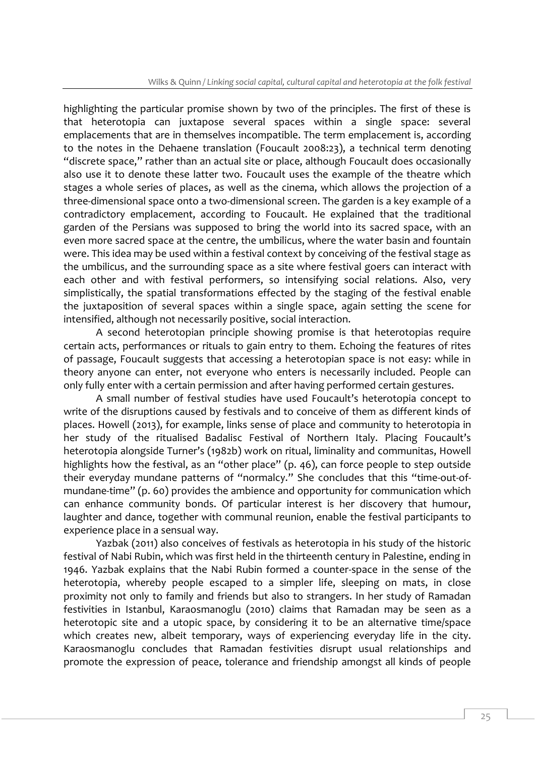highlighting the particular promise shown by two of the principles. The first of these is that heterotopia can juxtapose several spaces within a single space: several emplacements that are in themselves incompatible. The term emplacement is, according to the notes in the Dehaene translation (Foucault 2008:23), a technical term denoting "discrete space," rather than an actual site or place, although Foucault does occasionally also use it to denote these latter two. Foucault uses the example of the theatre which stages a whole series of places, as well as the cinema, which allows the projection of a three-dimensional space onto a two-dimensional screen. The garden is a key example of a contradictory emplacement, according to Foucault. He explained that the traditional garden of the Persians was supposed to bring the world into its sacred space, with an even more sacred space at the centre, the umbilicus, where the water basin and fountain were. This idea may be used within a festival context by conceiving of the festival stage as the umbilicus, and the surrounding space as a site where festival goers can interact with each other and with festival performers, so intensifying social relations. Also, very simplistically, the spatial transformations effected by the staging of the festival enable the juxtaposition of several spaces within a single space, again setting the scene for intensified, although not necessarily positive, social interaction.

A second heterotopian principle showing promise is that heterotopias require certain acts, performances or rituals to gain entry to them. Echoing the features of rites of passage, Foucault suggests that accessing a heterotopian space is not easy: while in theory anyone can enter, not everyone who enters is necessarily included. People can only fully enter with a certain permission and after having performed certain gestures.

A small number of festival studies have used Foucault's heterotopia concept to write of the disruptions caused by festivals and to conceive of them as different kinds of places. Howell (2013), for example, links sense of place and community to heterotopia in her study of the ritualised Badalisc Festival of Northern Italy. Placing Foucault's heterotopia alongside Turner's (1982b) work on ritual, liminality and communitas, Howell highlights how the festival, as an "other place" (p. 46), can force people to step outside their everyday mundane patterns of "normalcy." She concludes that this "time-out-ofmundane-time" (p. 60) provides the ambience and opportunity for communication which can enhance community bonds. Of particular interest is her discovery that humour, laughter and dance, together with communal reunion, enable the festival participants to experience place in a sensual way.

Yazbak (2011) also conceives of festivals as heterotopia in his study of the historic festival of Nabi Rubin, which was first held in the thirteenth century in Palestine, ending in 1946. Yazbak explains that the Nabi Rubin formed a counter-space in the sense of the heterotopia, whereby people escaped to a simpler life, sleeping on mats, in close proximity not only to family and friends but also to strangers. In her study of Ramadan festivities in Istanbul, Karaosmanoglu (2010) claims that Ramadan may be seen as a heterotopic site and a utopic space, by considering it to be an alternative time/space which creates new, albeit temporary, ways of experiencing everyday life in the city. Karaosmanoglu concludes that Ramadan festivities disrupt usual relationships and promote the expression of peace, tolerance and friendship amongst all kinds of people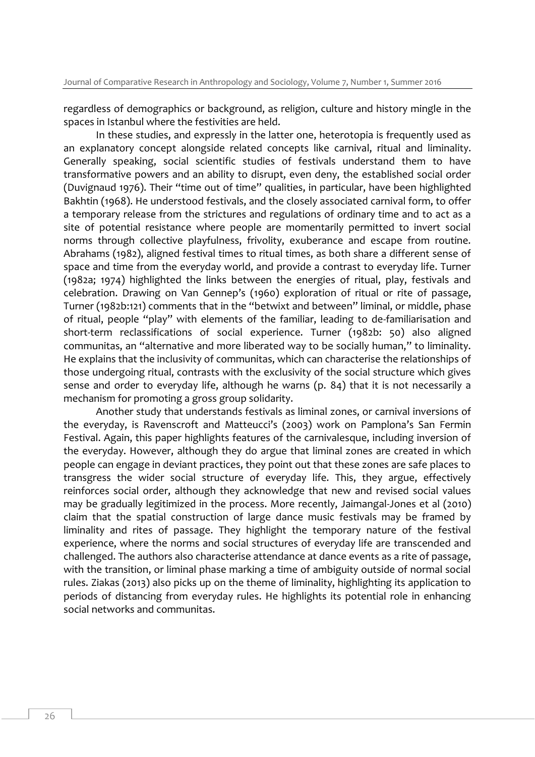regardless of demographics or background, as religion, culture and history mingle in the spaces in Istanbul where the festivities are held.

In these studies, and expressly in the latter one, heterotopia is frequently used as an explanatory concept alongside related concepts like carnival, ritual and liminality. Generally speaking, social scientific studies of festivals understand them to have transformative powers and an ability to disrupt, even deny, the established social order (Duvignaud 1976). Their "time out of time" qualities, in particular, have been highlighted Bakhtin (1968). He understood festivals, and the closely associated carnival form, to offer a temporary release from the strictures and regulations of ordinary time and to act as a site of potential resistance where people are momentarily permitted to invert social norms through collective playfulness, frivolity, exuberance and escape from routine. Abrahams (1982), aligned festival times to ritual times, as both share a different sense of space and time from the everyday world, and provide a contrast to everyday life. Turner (1982a; 1974) highlighted the links between the energies of ritual, play, festivals and celebration. Drawing on Van Gennep's (1960) exploration of ritual or rite of passage, Turner (1982b:121) comments that in the "betwixt and between" liminal, or middle, phase of ritual, people "play" with elements of the familiar, leading to de-familiarisation and short-term reclassifications of social experience. Turner (1982b: 50) also aligned communitas, an "alternative and more liberated way to be socially human," to liminality. He explains that the inclusivity of communitas, which can characterise the relationships of those undergoing ritual, contrasts with the exclusivity of the social structure which gives sense and order to everyday life, although he warns (p. 84) that it is not necessarily a mechanism for promoting a gross group solidarity.

Another study that understands festivals as liminal zones, or carnival inversions of the everyday, is Ravenscroft and Matteucci's (2003) work on Pamplona's San Fermin Festival. Again, this paper highlights features of the carnivalesque, including inversion of the everyday. However, although they do argue that liminal zones are created in which people can engage in deviant practices, they point out that these zones are safe places to transgress the wider social structure of everyday life. This, they argue, effectively reinforces social order, although they acknowledge that new and revised social values may be gradually legitimized in the process. More recently, Jaimangal-Jones et al (2010) claim that the spatial construction of large dance music festivals may be framed by liminality and rites of passage. They highlight the temporary nature of the festival experience, where the norms and social structures of everyday life are transcended and challenged. The authors also characterise attendance at dance events as a rite of passage, with the transition, or liminal phase marking a time of ambiguity outside of normal social rules. Ziakas (2013) also picks up on the theme of liminality, highlighting its application to periods of distancing from everyday rules. He highlights its potential role in enhancing social networks and communitas.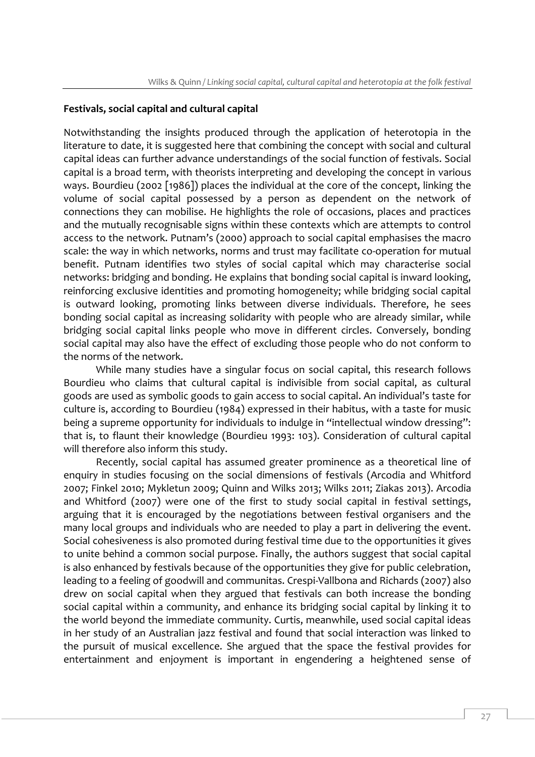# **Festivals, social capital and cultural capital**

Notwithstanding the insights produced through the application of heterotopia in the literature to date, it is suggested here that combining the concept with social and cultural capital ideas can further advance understandings of the social function of festivals. Social capital is a broad term, with theorists interpreting and developing the concept in various ways. Bourdieu (2002 [1986]) places the individual at the core of the concept, linking the volume of social capital possessed by a person as dependent on the network of connections they can mobilise. He highlights the role of occasions, places and practices and the mutually recognisable signs within these contexts which are attempts to control access to the network. Putnam's (2000) approach to social capital emphasises the macro scale: the way in which networks, norms and trust may facilitate co-operation for mutual benefit. Putnam identifies two styles of social capital which may characterise social networks: bridging and bonding. He explains that bonding social capital is inward looking, reinforcing exclusive identities and promoting homogeneity; while bridging social capital is outward looking, promoting links between diverse individuals. Therefore, he sees bonding social capital as increasing solidarity with people who are already similar, while bridging social capital links people who move in different circles. Conversely, bonding social capital may also have the effect of excluding those people who do not conform to the norms of the network.

While many studies have a singular focus on social capital, this research follows Bourdieu who claims that cultural capital is indivisible from social capital, as cultural goods are used as symbolic goods to gain access to social capital. An individual's taste for culture is, according to Bourdieu (1984) expressed in their habitus, with a taste for music being a supreme opportunity for individuals to indulge in "intellectual window dressing": that is, to flaunt their knowledge (Bourdieu 1993: 103). Consideration of cultural capital will therefore also inform this study.

Recently, social capital has assumed greater prominence as a theoretical line of enquiry in studies focusing on the social dimensions of festivals (Arcodia and Whitford 2007; Finkel 2010; Mykletun 2009; Quinn and Wilks 2013; Wilks 2011; Ziakas 2013). Arcodia and Whitford (2007) were one of the first to study social capital in festival settings, arguing that it is encouraged by the negotiations between festival organisers and the many local groups and individuals who are needed to play a part in delivering the event. Social cohesiveness is also promoted during festival time due to the opportunities it gives to unite behind a common social purpose. Finally, the authors suggest that social capital is also enhanced by festivals because of the opportunities they give for public celebration, leading to a feeling of goodwill and communitas. Crespi-Vallbona and Richards (2007) also drew on social capital when they argued that festivals can both increase the bonding social capital within a community, and enhance its bridging social capital by linking it to the world beyond the immediate community. Curtis, meanwhile, used social capital ideas in her study of an Australian jazz festival and found that social interaction was linked to the pursuit of musical excellence. She argued that the space the festival provides for entertainment and enjoyment is important in engendering a heightened sense of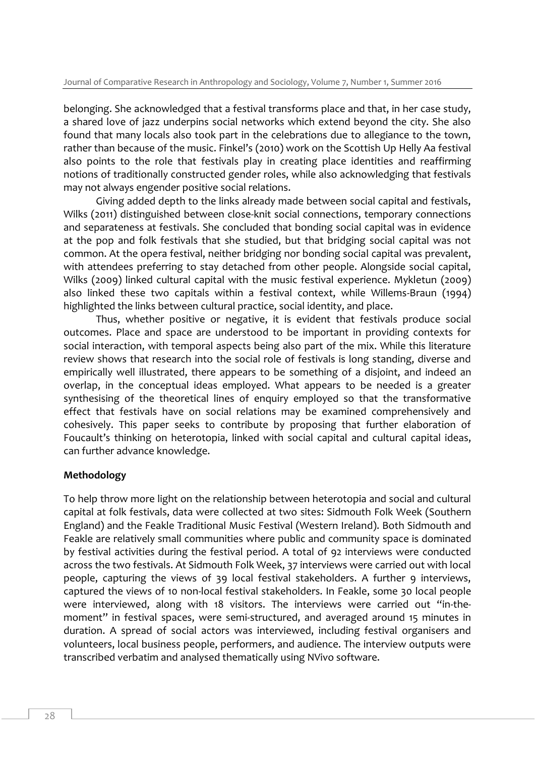belonging. She acknowledged that a festival transforms place and that, in her case study, a shared love of jazz underpins social networks which extend beyond the city. She also found that many locals also took part in the celebrations due to allegiance to the town, rather than because of the music. Finkel's (2010) work on the Scottish Up Helly Aa festival also points to the role that festivals play in creating place identities and reaffirming notions of traditionally constructed gender roles, while also acknowledging that festivals may not always engender positive social relations.

Giving added depth to the links already made between social capital and festivals, Wilks (2011) distinguished between close-knit social connections, temporary connections and separateness at festivals. She concluded that bonding social capital was in evidence at the pop and folk festivals that she studied, but that bridging social capital was not common. At the opera festival, neither bridging nor bonding social capital was prevalent, with attendees preferring to stay detached from other people. Alongside social capital, Wilks (2009) linked cultural capital with the music festival experience. Mykletun (2009) also linked these two capitals within a festival context, while Willems-Braun (1994) highlighted the links between cultural practice, social identity, and place.

Thus, whether positive or negative, it is evident that festivals produce social outcomes. Place and space are understood to be important in providing contexts for social interaction, with temporal aspects being also part of the mix. While this literature review shows that research into the social role of festivals is long standing, diverse and empirically well illustrated, there appears to be something of a disjoint, and indeed an overlap, in the conceptual ideas employed. What appears to be needed is a greater synthesising of the theoretical lines of enquiry employed so that the transformative effect that festivals have on social relations may be examined comprehensively and cohesively. This paper seeks to contribute by proposing that further elaboration of Foucault's thinking on heterotopia, linked with social capital and cultural capital ideas, can further advance knowledge.

#### **Methodology**

To help throw more light on the relationship between heterotopia and social and cultural capital at folk festivals, data were collected at two sites: Sidmouth Folk Week (Southern England) and the Feakle Traditional Music Festival (Western Ireland). Both Sidmouth and Feakle are relatively small communities where public and community space is dominated by festival activities during the festival period. A total of 92 interviews were conducted across the two festivals. At Sidmouth Folk Week, 37 interviews were carried out with local people, capturing the views of 39 local festival stakeholders. A further 9 interviews, captured the views of 10 non-local festival stakeholders. In Feakle, some 30 local people were interviewed, along with 18 visitors. The interviews were carried out "in-themoment" in festival spaces, were semi-structured, and averaged around 15 minutes in duration. A spread of social actors was interviewed, including festival organisers and volunteers, local business people, performers, and audience. The interview outputs were transcribed verbatim and analysed thematically using NVivo software.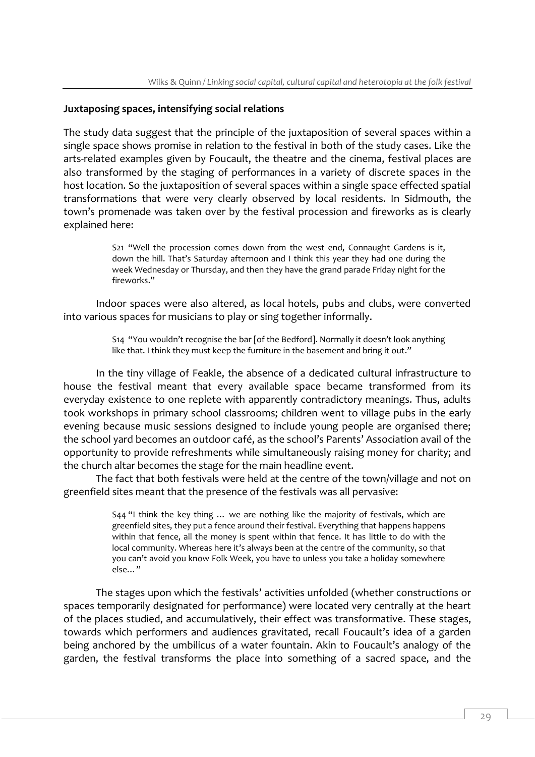#### **Juxtaposing spaces, intensifying social relations**

The study data suggest that the principle of the juxtaposition of several spaces within a single space shows promise in relation to the festival in both of the study cases. Like the arts-related examples given by Foucault, the theatre and the cinema, festival places are also transformed by the staging of performances in a variety of discrete spaces in the host location. So the juxtaposition of several spaces within a single space effected spatial transformations that were very clearly observed by local residents. In Sidmouth, the town's promenade was taken over by the festival procession and fireworks as is clearly explained here:

> S21 "Well the procession comes down from the west end, Connaught Gardens is it, down the hill. That's Saturday afternoon and I think this year they had one during the week Wednesday or Thursday, and then they have the grand parade Friday night for the fireworks."

Indoor spaces were also altered, as local hotels, pubs and clubs, were converted into various spaces for musicians to play or sing together informally.

> S14 "You wouldn't recognise the bar [of the Bedford]. Normally it doesn't look anything like that. I think they must keep the furniture in the basement and bring it out."

In the tiny village of Feakle, the absence of a dedicated cultural infrastructure to house the festival meant that every available space became transformed from its everyday existence to one replete with apparently contradictory meanings. Thus, adults took workshops in primary school classrooms; children went to village pubs in the early evening because music sessions designed to include young people are organised there; the school yard becomes an outdoor café, as the school's Parents' Association avail of the opportunity to provide refreshments while simultaneously raising money for charity; and the church altar becomes the stage for the main headline event.

The fact that both festivals were held at the centre of the town/village and not on greenfield sites meant that the presence of the festivals was all pervasive:

> S44 "I think the key thing … we are nothing like the majority of festivals, which are greenfield sites, they put a fence around their festival. Everything that happens happens within that fence, all the money is spent within that fence. It has little to do with the local community. Whereas here it's always been at the centre of the community, so that you can't avoid you know Folk Week, you have to unless you take a holiday somewhere else…"

The stages upon which the festivals' activities unfolded (whether constructions or spaces temporarily designated for performance) were located very centrally at the heart of the places studied, and accumulatively, their effect was transformative. These stages, towards which performers and audiences gravitated, recall Foucault's idea of a garden being anchored by the umbilicus of a water fountain. Akin to Foucault's analogy of the garden, the festival transforms the place into something of a sacred space, and the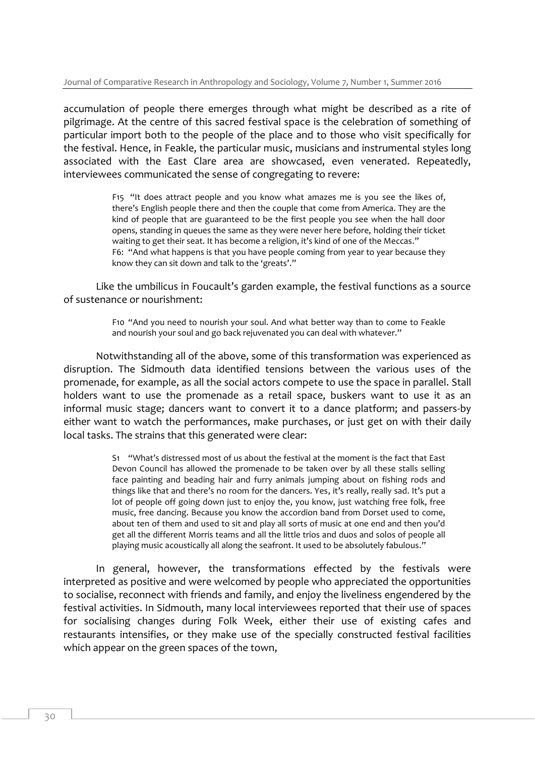accumulation of people there emerges through what might be described as a rite of pilgrimage. At the centre of this sacred festival space is the celebration of something of particular import both to the people of the place and to those who visit specifically for the festival. Hence, in Feakle, the particular music, musicians and instrumental styles long associated with the East Clare area are showcased, even venerated. Repeatedly, interviewees communicated the sense of congregating to revere:

> F15 "It does attract people and you know what amazes me is you see the likes of, there's English people there and then the couple that come from America. They are the kind of people that are guaranteed to be the first people you see when the hall door opens, standing in queues the same as they were never here before, holding their ticket waiting to get their seat. It has become a religion, it's kind of one of the Meccas." F6: "And what happens is that you have people coming from year to year because they know they can sit down and talk to the 'greats'."

Like the umbilicus in Foucault's garden example, the festival functions as a source of sustenance or nourishment:

> F10 "And you need to nourish your soul. And what better way than to come to Feakle and nourish your soul and go back rejuvenated you can deal with whatever."

Notwithstanding all of the above, some of this transformation was experienced as disruption. The Sidmouth data identified tensions between the various uses of the promenade, for example, as all the social actors compete to use the space in parallel. Stall holders want to use the promenade as a retail space, buskers want to use it as an informal music stage; dancers want to convert it to a dance platform; and passers-by either want to watch the performances, make purchases, or just get on with their daily local tasks. The strains that this generated were clear:

> S1 "What's distressed most of us about the festival at the moment is the fact that East Devon Council has allowed the promenade to be taken over by all these stalls selling face painting and beading hair and furry animals jumping about on fishing rods and things like that and there's no room for the dancers. Yes, it's really, really sad. It's put a lot of people off going down just to enjoy the, you know, just watching free folk, free music, free dancing. Because you know the accordion band from Dorset used to come, about ten of them and used to sit and play all sorts of music at one end and then you'd get all the different Morris teams and all the little trios and duos and solos of people all playing music acoustically all along the seafront. It used to be absolutely fabulous."

In general, however, the transformations effected by the festivals were interpreted as positive and were welcomed by people who appreciated the opportunities to socialise, reconnect with friends and family, and enjoy the liveliness engendered by the festival activities. In Sidmouth, many local interviewees reported that their use of spaces for socialising changes during Folk Week, either their use of existing cafes and restaurants intensifies, or they make use of the specially constructed festival facilities which appear on the green spaces of the town,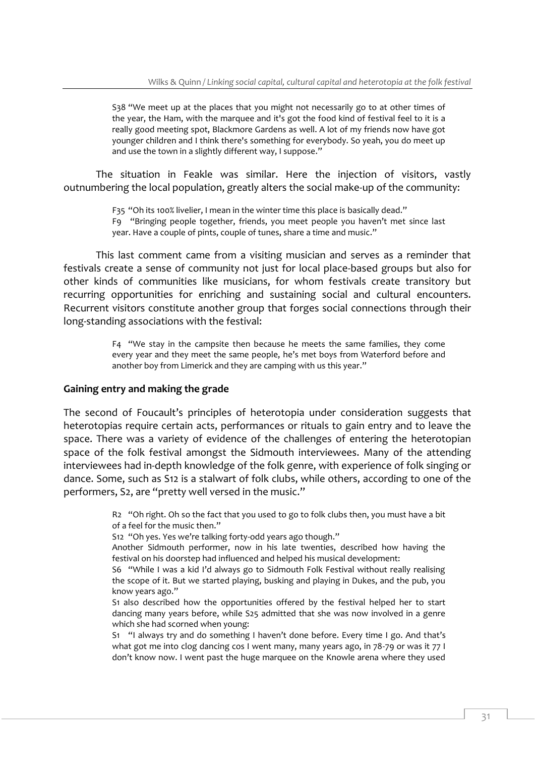S38 "We meet up at the places that you might not necessarily go to at other times of the year, the Ham, with the marquee and it's got the food kind of festival feel to it is a really good meeting spot, Blackmore Gardens as well. A lot of my friends now have got younger children and I think there's something for everybody. So yeah, you do meet up and use the town in a slightly different way, I suppose."

The situation in Feakle was similar. Here the injection of visitors, vastly outnumbering the local population, greatly alters the social make-up of the community:

> F35 "Oh its 100% livelier, I mean in the winter time this place is basically dead." F9 "Bringing people together, friends, you meet people you haven't met since last year. Have a couple of pints, couple of tunes, share a time and music."

This last comment came from a visiting musician and serves as a reminder that festivals create a sense of community not just for local place-based groups but also for other kinds of communities like musicians, for whom festivals create transitory but recurring opportunities for enriching and sustaining social and cultural encounters. Recurrent visitors constitute another group that forges social connections through their long-standing associations with the festival:

> F4 "We stay in the campsite then because he meets the same families, they come every year and they meet the same people, he's met boys from Waterford before and another boy from Limerick and they are camping with us this year."

#### **Gaining entry and making the grade**

The second of Foucault's principles of heterotopia under consideration suggests that heterotopias require certain acts, performances or rituals to gain entry and to leave the space. There was a variety of evidence of the challenges of entering the heterotopian space of the folk festival amongst the Sidmouth interviewees. Many of the attending interviewees had in-depth knowledge of the folk genre, with experience of folk singing or dance. Some, such as S12 is a stalwart of folk clubs, while others, according to one of the performers, S2, are "pretty well versed in the music."

> R2 "Oh right. Oh so the fact that you used to go to folk clubs then, you must have a bit of a feel for the music then."

S12 "Oh yes. Yes we're talking forty-odd years ago though."

Another Sidmouth performer, now in his late twenties, described how having the festival on his doorstep had influenced and helped his musical development:

S6 "While I was a kid I'd always go to Sidmouth Folk Festival without really realising the scope of it. But we started playing, busking and playing in Dukes, and the pub, you know years ago."

S1 also described how the opportunities offered by the festival helped her to start dancing many years before, while S25 admitted that she was now involved in a genre which she had scorned when young:

S1 "I always try and do something I haven't done before. Every time I go. And that's what got me into clog dancing cos I went many, many years ago, in 78-79 or was it 77 I don't know now. I went past the huge marquee on the Knowle arena where they used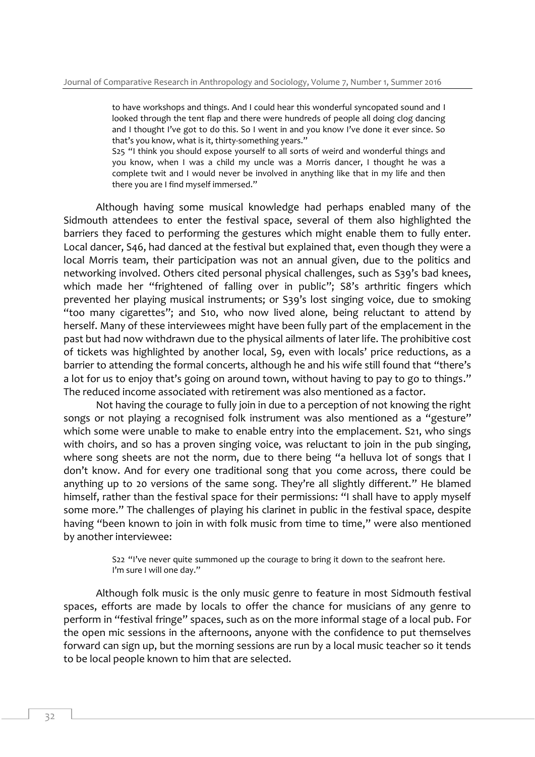to have workshops and things. And I could hear this wonderful syncopated sound and I looked through the tent flap and there were hundreds of people all doing clog dancing and I thought I've got to do this. So I went in and you know I've done it ever since. So that's you know, what is it, thirty-something years."

S25 "I think you should expose yourself to all sorts of weird and wonderful things and you know, when I was a child my uncle was a Morris dancer, I thought he was a complete twit and I would never be involved in anything like that in my life and then there you are I find myself immersed."

Although having some musical knowledge had perhaps enabled many of the Sidmouth attendees to enter the festival space, several of them also highlighted the barriers they faced to performing the gestures which might enable them to fully enter. Local dancer, S46, had danced at the festival but explained that, even though they were a local Morris team, their participation was not an annual given, due to the politics and networking involved. Others cited personal physical challenges, such as S39's bad knees, which made her "frightened of falling over in public"; S8's arthritic fingers which prevented her playing musical instruments; or S39's lost singing voice, due to smoking "too many cigarettes"; and S10, who now lived alone, being reluctant to attend by herself. Many of these interviewees might have been fully part of the emplacement in the past but had now withdrawn due to the physical ailments of later life. The prohibitive cost of tickets was highlighted by another local, S9, even with locals' price reductions, as a barrier to attending the formal concerts, although he and his wife still found that "there's a lot for us to enjoy that's going on around town, without having to pay to go to things." The reduced income associated with retirement was also mentioned as a factor.

Not having the courage to fully join in due to a perception of not knowing the right songs or not playing a recognised folk instrument was also mentioned as a "gesture" which some were unable to make to enable entry into the emplacement. S21, who sings with choirs, and so has a proven singing voice, was reluctant to join in the pub singing, where song sheets are not the norm, due to there being "a helluva lot of songs that I don't know. And for every one traditional song that you come across, there could be anything up to 20 versions of the same song. They're all slightly different." He blamed himself, rather than the festival space for their permissions: "I shall have to apply myself some more." The challenges of playing his clarinet in public in the festival space, despite having "been known to join in with folk music from time to time," were also mentioned by another interviewee:

> S22 "I've never quite summoned up the courage to bring it down to the seafront here. I'm sure I will one day."

Although folk music is the only music genre to feature in most Sidmouth festival spaces, efforts are made by locals to offer the chance for musicians of any genre to perform in "festival fringe" spaces, such as on the more informal stage of a local pub. For the open mic sessions in the afternoons, anyone with the confidence to put themselves forward can sign up, but the morning sessions are run by a local music teacher so it tends to be local people known to him that are selected.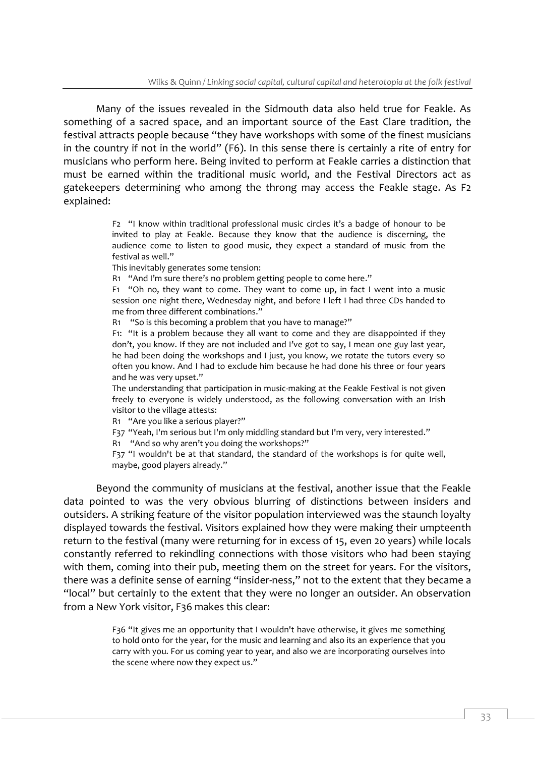Many of the issues revealed in the Sidmouth data also held true for Feakle. As something of a sacred space, and an important source of the East Clare tradition, the festival attracts people because "they have workshops with some of the finest musicians in the country if not in the world" (F6). In this sense there is certainly a rite of entry for musicians who perform here. Being invited to perform at Feakle carries a distinction that must be earned within the traditional music world, and the Festival Directors act as gatekeepers determining who among the throng may access the Feakle stage. As F2 explained:

> F2 "I know within traditional professional music circles it's a badge of honour to be invited to play at Feakle. Because they know that the audience is discerning, the audience come to listen to good music, they expect a standard of music from the festival as well."

This inevitably generates some tension:

R1 "And I'm sure there's no problem getting people to come here."

F1 "Oh no, they want to come. They want to come up, in fact I went into a music session one night there, Wednesday night, and before I left I had three CDs handed to me from three different combinations."

R1 "So is this becoming a problem that you have to manage?"

F1: "It is a problem because they all want to come and they are disappointed if they don't, you know. If they are not included and I've got to say, I mean one guy last year, he had been doing the workshops and I just, you know, we rotate the tutors every so often you know. And I had to exclude him because he had done his three or four years and he was very upset."

The understanding that participation in music-making at the Feakle Festival is not given freely to everyone is widely understood, as the following conversation with an Irish visitor to the village attests:

R1 "Are you like a serious player?"

F37 "Yeah, I'm serious but I'm only middling standard but I'm very, very interested."

R1 "And so why aren't you doing the workshops?"

F37 "I wouldn't be at that standard, the standard of the workshops is for quite well, maybe, good players already."

Beyond the community of musicians at the festival, another issue that the Feakle data pointed to was the very obvious blurring of distinctions between insiders and outsiders. A striking feature of the visitor population interviewed was the staunch loyalty displayed towards the festival. Visitors explained how they were making their umpteenth return to the festival (many were returning for in excess of 15, even 20 years) while locals constantly referred to rekindling connections with those visitors who had been staying with them, coming into their pub, meeting them on the street for years. For the visitors, there was a definite sense of earning "insider-ness," not to the extent that they became a "local" but certainly to the extent that they were no longer an outsider. An observation from a New York visitor, F36 makes this clear:

> F36 "It gives me an opportunity that I wouldn't have otherwise, it gives me something to hold onto for the year, for the music and learning and also its an experience that you carry with you. For us coming year to year, and also we are incorporating ourselves into the scene where now they expect us."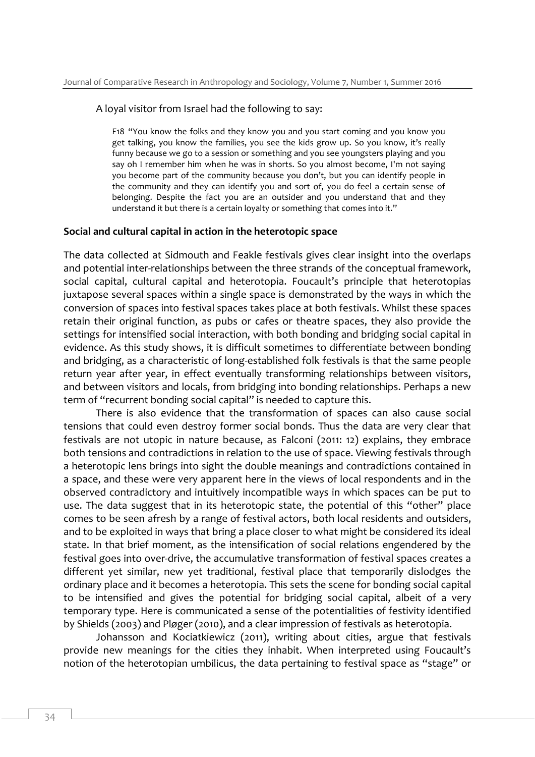#### A loyal visitor from Israel had the following to say:

F18 "You know the folks and they know you and you start coming and you know you get talking, you know the families, you see the kids grow up. So you know, it's really funny because we go to a session or something and you see youngsters playing and you say oh I remember him when he was in shorts. So you almost become, I'm not saying you become part of the community because you don't, but you can identify people in the community and they can identify you and sort of, you do feel a certain sense of belonging. Despite the fact you are an outsider and you understand that and they understand it but there is a certain loyalty or something that comes into it."

#### **Social and cultural capital in action in the heterotopic space**

The data collected at Sidmouth and Feakle festivals gives clear insight into the overlaps and potential inter-relationships between the three strands of the conceptual framework, social capital, cultural capital and heterotopia. Foucault's principle that heterotopias juxtapose several spaces within a single space is demonstrated by the ways in which the conversion of spaces into festival spaces takes place at both festivals. Whilst these spaces retain their original function, as pubs or cafes or theatre spaces, they also provide the settings for intensified social interaction, with both bonding and bridging social capital in evidence. As this study shows, it is difficult sometimes to differentiate between bonding and bridging, as a characteristic of long-established folk festivals is that the same people return year after year, in effect eventually transforming relationships between visitors, and between visitors and locals, from bridging into bonding relationships. Perhaps a new term of "recurrent bonding social capital" is needed to capture this.

There is also evidence that the transformation of spaces can also cause social tensions that could even destroy former social bonds. Thus the data are very clear that festivals are not utopic in nature because, as Falconi (2011: 12) explains, they embrace both tensions and contradictions in relation to the use of space. Viewing festivals through a heterotopic lens brings into sight the double meanings and contradictions contained in a space, and these were very apparent here in the views of local respondents and in the observed contradictory and intuitively incompatible ways in which spaces can be put to use. The data suggest that in its heterotopic state, the potential of this "other" place comes to be seen afresh by a range of festival actors, both local residents and outsiders, and to be exploited in ways that bring a place closer to what might be considered its ideal state. In that brief moment, as the intensification of social relations engendered by the festival goes into over-drive, the accumulative transformation of festival spaces creates a different yet similar, new yet traditional, festival place that temporarily dislodges the ordinary place and it becomes a heterotopia. This sets the scene for bonding social capital to be intensified and gives the potential for bridging social capital, albeit of a very temporary type. Here is communicated a sense of the potentialities of festivity identified by Shields (2003) and Pløger (2010), and a clear impression of festivals as heterotopia.

Johansson and Kociatkiewicz (2011), writing about cities, argue that festivals provide new meanings for the cities they inhabit. When interpreted using Foucault's notion of the heterotopian umbilicus, the data pertaining to festival space as "stage" or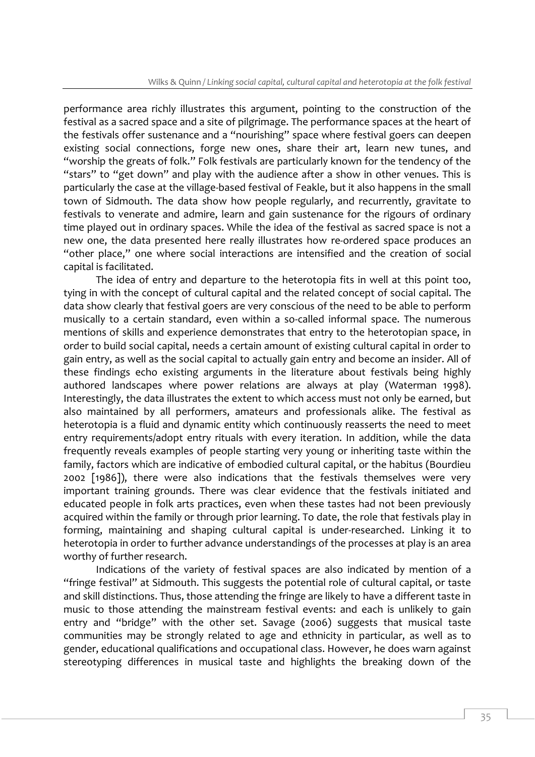performance area richly illustrates this argument, pointing to the construction of the festival as a sacred space and a site of pilgrimage. The performance spaces at the heart of the festivals offer sustenance and a "nourishing" space where festival goers can deepen existing social connections, forge new ones, share their art, learn new tunes, and "worship the greats of folk." Folk festivals are particularly known for the tendency of the "stars" to "get down" and play with the audience after a show in other venues. This is particularly the case at the village-based festival of Feakle, but it also happens in the small town of Sidmouth. The data show how people regularly, and recurrently, gravitate to festivals to venerate and admire, learn and gain sustenance for the rigours of ordinary time played out in ordinary spaces. While the idea of the festival as sacred space is not a new one, the data presented here really illustrates how re-ordered space produces an "other place," one where social interactions are intensified and the creation of social capital is facilitated.

The idea of entry and departure to the heterotopia fits in well at this point too, tying in with the concept of cultural capital and the related concept of social capital. The data show clearly that festival goers are very conscious of the need to be able to perform musically to a certain standard, even within a so-called informal space. The numerous mentions of skills and experience demonstrates that entry to the heterotopian space, in order to build social capital, needs a certain amount of existing cultural capital in order to gain entry, as well as the social capital to actually gain entry and become an insider. All of these findings echo existing arguments in the literature about festivals being highly authored landscapes where power relations are always at play (Waterman 1998). Interestingly, the data illustrates the extent to which access must not only be earned, but also maintained by all performers, amateurs and professionals alike. The festival as heterotopia is a fluid and dynamic entity which continuously reasserts the need to meet entry requirements/adopt entry rituals with every iteration. In addition, while the data frequently reveals examples of people starting very young or inheriting taste within the family, factors which are indicative of embodied cultural capital, or the habitus (Bourdieu 2002 [1986]), there were also indications that the festivals themselves were very important training grounds. There was clear evidence that the festivals initiated and educated people in folk arts practices, even when these tastes had not been previously acquired within the family or through prior learning. To date, the role that festivals play in forming, maintaining and shaping cultural capital is under-researched. Linking it to heterotopia in order to further advance understandings of the processes at play is an area worthy of further research.

Indications of the variety of festival spaces are also indicated by mention of a "fringe festival" at Sidmouth. This suggests the potential role of cultural capital, or taste and skill distinctions. Thus, those attending the fringe are likely to have a different taste in music to those attending the mainstream festival events: and each is unlikely to gain entry and "bridge" with the other set. Savage (2006) suggests that musical taste communities may be strongly related to age and ethnicity in particular, as well as to gender, educational qualifications and occupational class. However, he does warn against stereotyping differences in musical taste and highlights the breaking down of the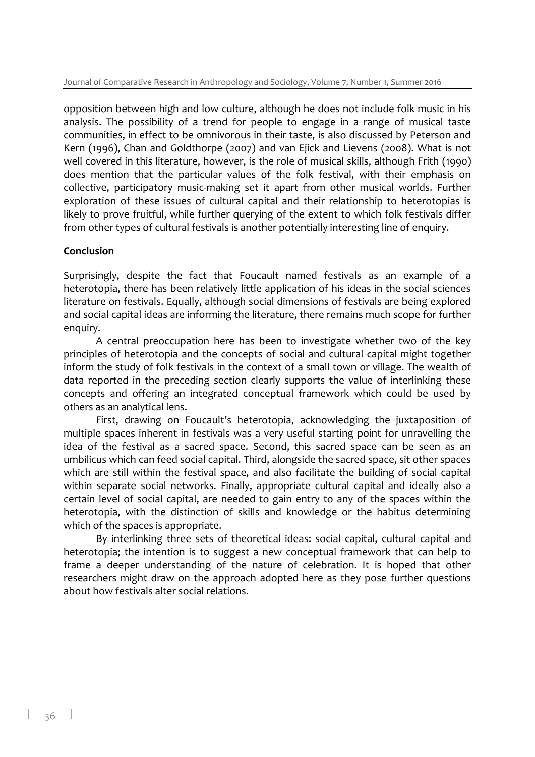opposition between high and low culture, although he does not include folk music in his analysis. The possibility of a trend for people to engage in a range of musical taste communities, in effect to be omnivorous in their taste, is also discussed by Peterson and Kern (1996), Chan and Goldthorpe (2007) and van Ejick and Lievens (2008). What is not well covered in this literature, however, is the role of musical skills, although Frith (1990) does mention that the particular values of the folk festival, with their emphasis on collective, participatory music-making set it apart from other musical worlds. Further exploration of these issues of cultural capital and their relationship to heterotopias is likely to prove fruitful, while further querying of the extent to which folk festivals differ from other types of cultural festivals is another potentially interesting line of enquiry.

# **Conclusion**

Surprisingly, despite the fact that Foucault named festivals as an example of a heterotopia, there has been relatively little application of his ideas in the social sciences literature on festivals. Equally, although social dimensions of festivals are being explored and social capital ideas are informing the literature, there remains much scope for further enquiry.

A central preoccupation here has been to investigate whether two of the key principles of heterotopia and the concepts of social and cultural capital might together inform the study of folk festivals in the context of a small town or village. The wealth of data reported in the preceding section clearly supports the value of interlinking these concepts and offering an integrated conceptual framework which could be used by others as an analytical lens.

First, drawing on Foucault's heterotopia, acknowledging the juxtaposition of multiple spaces inherent in festivals was a very useful starting point for unravelling the idea of the festival as a sacred space. Second, this sacred space can be seen as an umbilicus which can feed social capital. Third, alongside the sacred space, sit other spaces which are still within the festival space, and also facilitate the building of social capital within separate social networks. Finally, appropriate cultural capital and ideally also a certain level of social capital, are needed to gain entry to any of the spaces within the heterotopia, with the distinction of skills and knowledge or the habitus determining which of the spaces is appropriate.

By interlinking three sets of theoretical ideas: social capital, cultural capital and heterotopia; the intention is to suggest a new conceptual framework that can help to frame a deeper understanding of the nature of celebration. It is hoped that other researchers might draw on the approach adopted here as they pose further questions about how festivals alter social relations.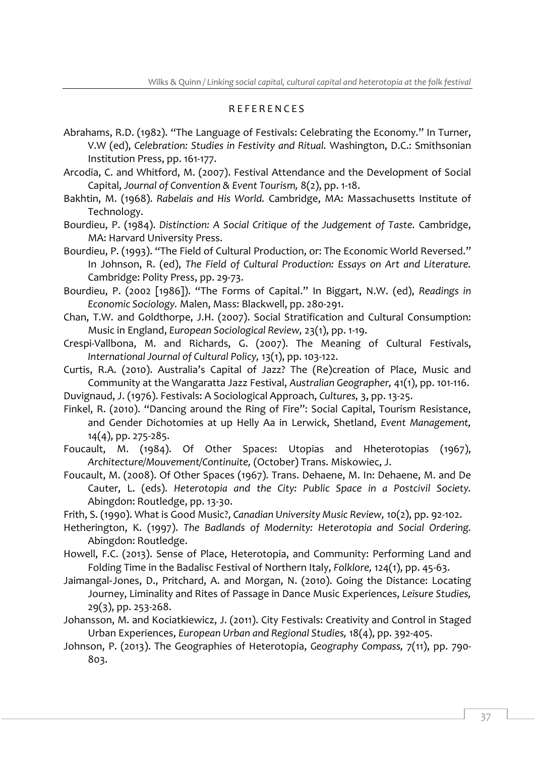# R E F E R E N C E S

- Abrahams, R.D. (1982). "The Language of Festivals: Celebrating the Economy." In Turner, V.W (ed), *Celebration: Studies in Festivity and Ritual.* Washington, D.C.: Smithsonian Institution Press, pp. 161-177.
- Arcodia, C. and Whitford, M. (2007). Festival Attendance and the Development of Social Capital, *Journal of Convention & Event Tourism,* 8(2), pp. 1-18.
- Bakhtin, M. (1968). *Rabelais and His World.* Cambridge, MA: Massachusetts Institute of Technology.
- Bourdieu, P. (1984). *Distinction: A Social Critique of the Judgement of Taste.* Cambridge, MA: Harvard University Press.
- Bourdieu, P. (1993). "The Field of Cultural Production, or: The Economic World Reversed." In Johnson, R. (ed), *The Field of Cultural Production: Essays on Art and Literature.* Cambridge: Polity Press, pp. 29-73.
- Bourdieu, P. (2002 [1986]). "The Forms of Capital." In Biggart, N.W. (ed), *Readings in Economic Sociology.* Malen, Mass: Blackwell, pp. 280-291.
- Chan, T.W. and Goldthorpe, J.H. (2007). Social Stratification and Cultural Consumption: Music in England, *European Sociological Review,* 23(1), pp. 1-19.
- Crespi-Vallbona, M. and Richards, G. (2007). The Meaning of Cultural Festivals, *International Journal of Cultural Policy,* 13(1), pp. 103-122.
- Curtis, R.A. (2010). Australia's Capital of Jazz? The (Re)creation of Place, Music and Community at the Wangaratta Jazz Festival, *Australian Geographer,* 41(1), pp. 101-116.
- Duvignaud, J. (1976). Festivals: A Sociological Approach, *Cultures,* 3, pp. 13-25.
- Finkel, R. (2010). "Dancing around the Ring of Fire": Social Capital, Tourism Resistance, and Gender Dichotomies at up Helly Aa in Lerwick, Shetland, *Event Management,* 14(4), pp. 275-285.
- Foucault, M. (1984). Of Other Spaces: Utopias and Hheterotopias (1967), *Architecture/Mouvement/Continuite,* (October) Trans. Miskowiec, J.
- Foucault, M. (2008). Of Other Spaces (1967). Trans. Dehaene, M. In: Dehaene, M. and De Cauter, L. (eds). *Heterotopia and the City: Public Space in a Postcivil Society.* Abingdon: Routledge, pp. 13-30.
- Frith, S. (1990). What is Good Music?, *Canadian University Music Review,* 10(2), pp. 92-102.
- Hetherington, K. (1997). *The Badlands of Modernity: Heterotopia and Social Ordering.* Abingdon: Routledge.
- Howell, F.C. (2013). Sense of Place, Heterotopia, and Community: Performing Land and Folding Time in the Badalisc Festival of Northern Italy, *Folklore,* 124(1), pp. 45-63.
- Jaimangal‐Jones, D., Pritchard, A. and Morgan, N. (2010). Going the Distance: Locating Journey, Liminality and Rites of Passage in Dance Music Experiences, *Leisure Studies,* 29(3), pp. 253-268.
- Johansson, M. and Kociatkiewicz, J. (2011). City Festivals: Creativity and Control in Staged Urban Experiences, *European Urban and Regional Studies,* 18(4), pp. 392-405.
- Johnson, P. (2013). The Geographies of Heterotopia, *Geography Compass,* 7(11), pp. 790- 803.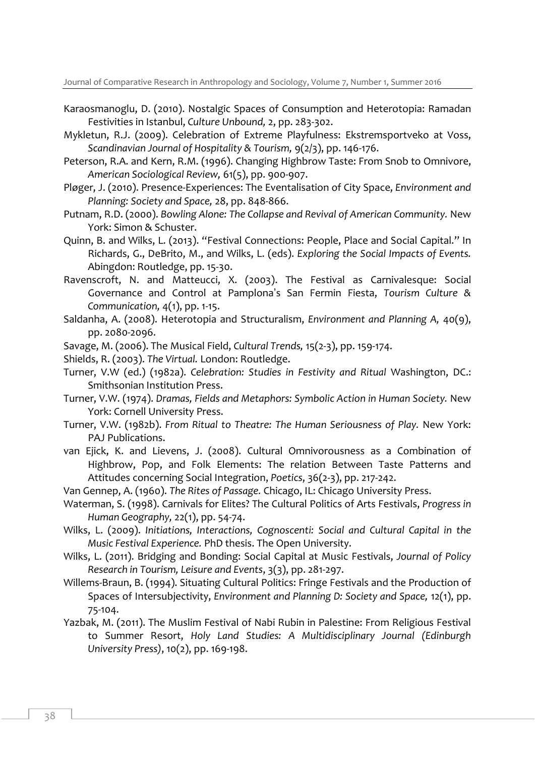- Karaosmanoglu, D. (2010). Nostalgic Spaces of Consumption and Heterotopia: Ramadan Festivities in Istanbul, *Culture Unbound,* 2, pp. 283-302.
- Mykletun, R.J. (2009). Celebration of Extreme Playfulness: Ekstremsportveko at Voss, *Scandinavian Journal of Hospitality & Tourism,* 9(2/3), pp. 146-176.
- Peterson, R.A. and Kern, R.M. (1996). Changing Highbrow Taste: From Snob to Omnivore, *American Sociological Review,* 61(5), pp. 900-907.
- Pløger, J. (2010). Presence-Experiences: The Eventalisation of City Space, *Environment and Planning: Society and Space,* 28, pp. 848-866.
- Putnam, R.D. (2000). *Bowling Alone: The Collapse and Revival of American Community.* New York: Simon & Schuster.
- Quinn, B. and Wilks, L. (2013). "Festival Connections: People, Place and Social Capital." In Richards, G., DeBrito, M., and Wilks, L. (eds). *Exploring the Social Impacts of Events.* Abingdon: Routledge, pp. 15-30.
- Ravenscroft, N. and Matteucci, X. (2003). The Festival as Carnivalesque: Social Governance and Control at Pamplona's San Fermin Fiesta, *Tourism Culture & Communication,* 4(1), pp. 1-15.
- Saldanha, A. (2008). Heterotopia and Structuralism, *Environment and Planning A,* 40(9), pp. 2080-2096.
- Savage, M. (2006). The Musical Field, *Cultural Trends,* 15(2-3), pp. 159-174.
- Shields, R. (2003). *The Virtual.* London: Routledge.
- Turner, V.W (ed.) (1982a). *Celebration: Studies in Festivity and Ritual* Washington, DC.: Smithsonian Institution Press.
- Turner, V.W. (1974). *Dramas, Fields and Metaphors: Symbolic Action in Human Society.* New York: Cornell University Press.
- Turner, V.W. (1982b). *From Ritual to Theatre: The Human Seriousness of Play.* New York: PAJ Publications.
- van Ejick, K. and Lievens, J. (2008). Cultural Omnivorousness as a Combination of Highbrow, Pop, and Folk Elements: The relation Between Taste Patterns and Attitudes concerning Social Integration, *Poetics*, 36(2-3), pp. 217-242.
- Van Gennep, A. (1960). *The Rites of Passage.* Chicago, IL: Chicago University Press.
- Waterman, S. (1998). Carnivals for Elites? The Cultural Politics of Arts Festivals, *Progress in Human Geography,* 22(1), pp. 54-74.
- Wilks, L. (2009). *Initiations, Interactions, Cognoscenti: Social and Cultural Capital in the Music Festival Experience.* PhD thesis. The Open University.
- Wilks, L. (2011). Bridging and Bonding: Social Capital at Music Festivals, *Journal of Policy Research in Tourism, Leisure and Events*, 3(3), pp. 281-297.
- Willems-Braun, B. (1994). Situating Cultural Politics: Fringe Festivals and the Production of Spaces of Intersubjectivity, *Environment and Planning D: Society and Space,* 12(1), pp. 75-104.
- Yazbak, M. (2011). The Muslim Festival of Nabi Rubin in Palestine: From Religious Festival to Summer Resort, *Holy Land Studies: A Multidisciplinary Journal (Edinburgh University Press)*, 10(2), pp. 169-198.